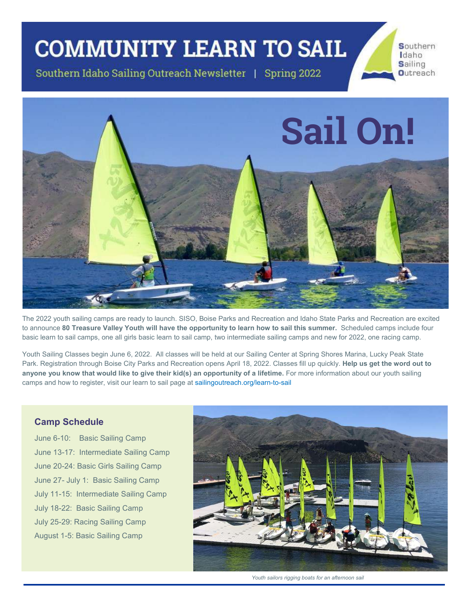## **COMMUNITY LEARN TO SAIL**

Southern Idaho Sailing Outreach Newsletter | Spring 2022



The 2022 youth sailing camps are ready to launch. SISO, Boise Parks and Recreation and Idaho State Parks and Recreation are excited to announce 80 Treasure Valley Youth will have the opportunity to learn how to sail this summer. Scheduled camps include four basic learn to sail camps, one all girls basic learn to sail camp, two intermediate sailing camps and new for 2022, one racing camp.

Youth Sailing Classes begin June 6, 2022. All classes will be held at our Sailing Center at Spring Shores Marina, Lucky Peak State Park. Registration through Boise City Parks and Recreation opens April 18, 2022. Classes fill up quickly. Help us get the word out to anyone you know that would like to give their kid(s) an opportunity of a lifetime. For more information about our youth sailing camps and how to register, visit our learn to sail page at sailingoutreach.org/learn-to-sail

#### **Camp Schedule**

June 6-10: Basic Sailing Camp June 13-17: Intermediate Sailing Camp June 20-24: Basic Girls Sailing Camp June 27- July 1: Basic Sailing Camp July 11-15: Intermediate Sailing Camp July 18-22: Basic Sailing Camp July 25-29: Racing Sailing Camp August 1-5: Basic Sailing Camp



Southern Idaho Sailing

**Outreach** 

Youth sailors rigging boats for an afternoon sail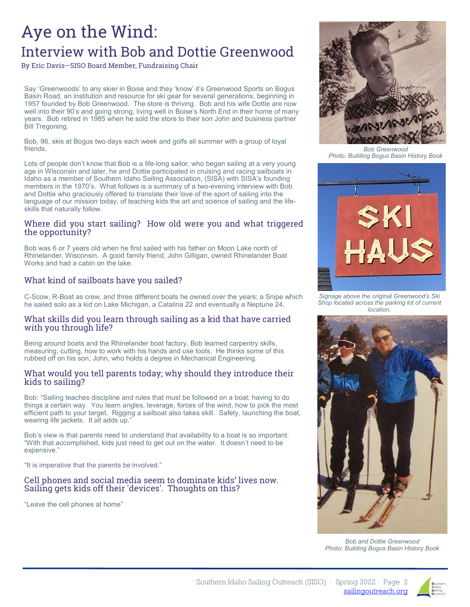## Aye on the Wind: Interview with Bob and Dottie Greenwood

By Eric Davis-SISO Board Member, Fundraising Chair

Say 'Greenwoods' to any skier in Boise and they 'know' it's Greenwood Sports on Bogus Basin Road, an institution and resource for ski gear for several generations, beginning in 1957 founded by Bob Greenwood. The store is thriving. Bob and his wife Dottie are now well into their 90's and going strong, living well in Boise's North End in their home of many years. Bob retired in 1985 when he sold the store to their son John and business partner Bill Tregoning.

Bob, 96, skis at Bogus two days each week and golfs all summer with a group of loyal friends

Lots of people don't know that Bob is a life-long sailor, who began sailing at a very young age in Wisconsin and later, he and Dottie participated in cruising and racing sailboats in Idaho as a member of Southern Idaho Sailing Association, (SISA) with SISA's founding members in the 1970's. What follows is a summary of a two-evening interview with Bob and Dottie who graciously offered to translate their love of the sport of sailing into the language of our mission today, of teaching kids the art and science of sailing and the lifeskills that naturally follow.

#### Where did you start sailing? How old were you and what triggered the opportunity?

Bob was 6 or 7 years old when he first sailed with his father on Moon Lake north of Rhinelander, Wisconsin. A good family friend, John Gilligan, owned Rhinelander Boat Works and had a cabin on the lake.

#### What kind of sailboats have you sailed?

C-Scow, R-Boat as crew, and three different boats he owned over the years; a Snipe which he sailed solo as a kid on Lake Michigan, a Catalina 22 and eventually a Neptune 24.

#### What skills did you learn through sailing as a kid that have carried with you through life?

Being around boats and the Rhinelander boat factory, Bob learned carpentry skills, measuring, cutting, how to work with his hands and use tools. He thinks some of this rubbed off on his son, John, who holds a degree in Mechanical Engineering.

#### What would you tell parents today; why should they introduce their kids to sailing?

Bob: "Sailing teaches discipline and rules that must be followed on a boat; having to do things a certain way. You learn angles, leverage, forces of the wind, how to pick the most efficient path to your target. Rigging a sailboat also takes skill. Safety, launching the boat, wearing life jackets. It all adds up.'

Bob's view is that parents need to understand that availability to a boat is so important. "With that accomplished, kids just need to get out on the water. It doesn't need to be expensive."

"It is imperative that the parents be involved."

#### Cell phones and social media seem to dominate kids' lives now. Sailing gets kids off their 'devices'. Thoughts on this?

"Leave the cell phones at home"



**Bob Greenwood** Photo: Building Bogus Basin History Book



Signage above the original Greenwood's Ski Shop located across the parking lot of current location.



**Bob and Dottie Greenwood** Photo: Building Bogus Basin History Book

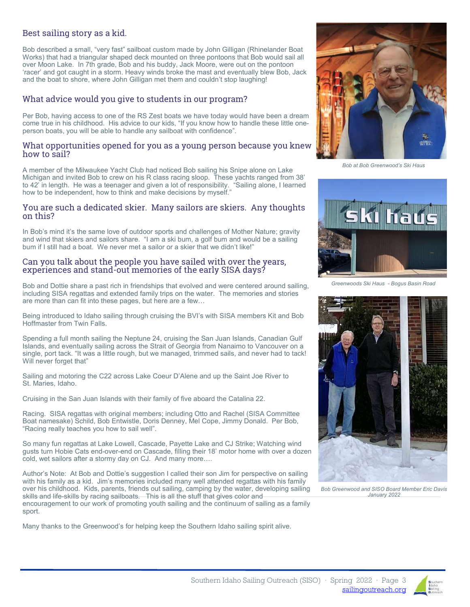#### Best sailing story as a kid.

Bob described a small, "very fast" sailboat custom made by John Gilligan (Rhinelander Boat Works) that had a triangular shaped deck mounted on three pontoons that Bob would sail all over Moon Lake. In 7th grade, Bob and his buddy, Jack Moore, were out on the pontoon 'racer' and got caught in a storm. Heavy winds broke the mast and eventually blew Bob, Jack and the boat to shore, where John Gilligan met them and couldn't stop laughing!

#### What advice would you give to students in our program?

Per Bob, having access to one of the RS Zest boats we have today would have been a dream come true in his childhood. His advice to our kids, "If you know how to handle these little oneperson boats, you will be able to handle any sailboat with confidence".

#### What opportunities opened for you as a young person because you knew how to sail?

A member of the Milwaukee Yacht Club had noticed Bob sailing his Snipe alone on Lake Michigan and invited Bob to crew on his R class racing sloop. These yachts ranged from 38' to 42' in length. He was a teenager and given a lot of responsibility. "Sailing alone, I learned how to be independent, how to think and make decisions by myself."

#### You are such a dedicated skier. Many sailors are skiers. Any thoughts on this?

In Bob's mind it's the same love of outdoor sports and challenges of Mother Nature; gravity and wind that skiers and sailors share. "I am a ski bum, a golf bum and would be a sailing bum if I still had a boat. We never met a sailor or a skier that we didn't like!"

#### Can you talk about the people you have sailed with over the years, experiences and stand-out memories of the early SISA days?

Bob and Dottie share a past rich in friendships that evolved and were centered around sailing, including SISA regattas and extended family trips on the water. The memories and stories are more than can fit into these pages, but here are a few...

Being introduced to Idaho sailing through cruising the BVI's with SISA members Kit and Bob Hoffmaster from Twin Falls.

Spending a full month sailing the Neptune 24, cruising the San Juan Islands, Canadian Gulf Islands, and eventually sailing across the Strait of Georgia from Nanaimo to Vancouver on a single, port tack. "It was a little rough, but we managed, trimmed sails, and never had to tack! Will never forget that"

Sailing and motoring the C22 across Lake Coeur D'Alene and up the Saint Joe River to St. Maries, Idaho.

Cruising in the San Juan Islands with their family of five aboard the Catalina 22.

Racing. SISA regattas with original members; including Otto and Rachel (SISA Committee Boat namesake) Schild, Bob Entwistle, Doris Denney, Mel Cope, Jimmy Donald. Per Bob, "Racing really teaches you how to sail well".

So many fun regattas at Lake Lowell, Cascade, Payette Lake and CJ Strike; Watching wind qusts turn Hobie Cats end-over-end on Cascade, filling their 18' motor home with over a dozen cold, wet sailors after a stormy day on CJ. And many more....

Author's Note: At Bob and Dottie's suggestion I called their son Jim for perspective on sailing with his family as a kid. Jim's memories included many well attended regattas with his family over his childhood. Kids, parents, friends out sailing, camping by the water, developing sailing skills and life-skills by racing sailboats. This is all the stuff that gives color and encouragement to our work of promoting youth sailing and the continuum of sailing as a family sport.

Many thanks to the Greenwood's for helping keep the Southern Idaho sailing spirit alive.



Bob at Bob Greenwood's Ski Haus



Greenwoods Ski Haus - Bogus Basin Road



Bob Greenwood and SISO Board Member Eric Davis January 2022



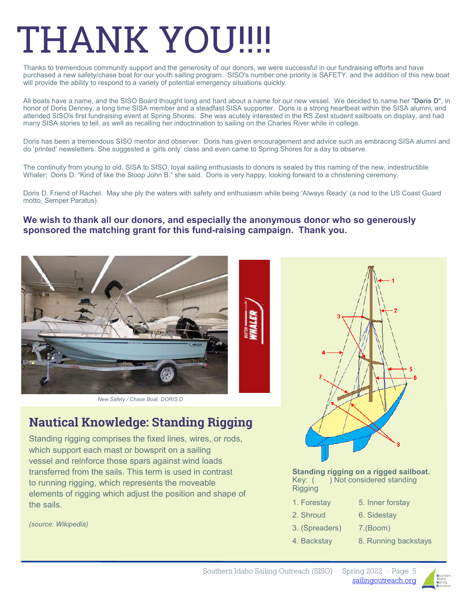# THANK YOU!!

Thanks to tremendous community support and the generosity of our donors, we were successful in our fundraising efforts and have purchased a new safety/chase boat for our youth sailing program. SISO's number one priority is SAFETY, and the addition of this new boat will provide the ability to respond to a variety of potential emergency situations quickly.

All boats have a name, and the SISO Board thought long and hard about a name for our new vessel. We decided to name her "Doris D", in honor of Doris Denney, a long time SISA member and a steadfast SISA supporter. Doris is a strong heartbeat within the SISA alumni, and attended SISO's first fundraising event at Spring Shores. She was acutely interested in the RS Zest student sailboats on display, and had many SISA stories to tell, as well as recalling her indoctrination to sailing on the Charles River while in college.

Doris has been a tremendous SISO mentor and observer: Doris has given encouragement and advice such as embracing SISA alumni and do 'printed' newsletters. She suggested a 'girls only' class and even came to Spring Shores for a day to observe.

The continuity from young to old, SISA to SISO, loyal sailing enthusiasts to donors is sealed by this naming of the new, indestructible Whaler; Doris D. "Kind of like the Sloop John B." she said. Doris is very happy, looking forward to a christening ceremony.

Doris D. Friend of Rachel. May she ply the waters with safety and enthusiasm while being 'Always Ready' (a nod to the US Coast Guard motto. Semper Paratus).

#### We wish to thank all our donors, and especially the anonymous donor who so generously sponsored the matching grant for this fund-raising campaign. Thank you.



New Safety / Chase Boat DORIS D

### Nautical Knowledge: Standing Rigging

Standing rigging comprises the fixed lines, wires, or rods, which support each mast or bowsprit on a sailing yessel and reinforce those spars against wind loads transferred from the sails. This term is used in contrast to running rigging, which represents the moveable elements of rigging which adjust the position and shape of the sails

(source: Wikipedia)



Standing rigging on a rigged sailboat. Key: ( ) Not considered standing Rigging

- 1. Forestay  $\overline{\phantom{aa}}$  5. Inner forstay
- 2. Shroud 6. Sidestay
- 3. (Spreaders) 7. (Boom)
- 
- 4. Backstay 8. Running backstays

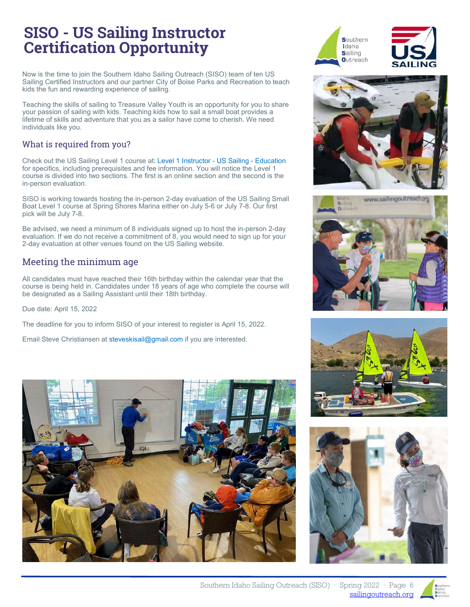## SISO - US Sailing Instructor Certification Opportunity

Now is the time to join the Southern Idaho Sailing Outreach (SISO) team of ten US Sailing Certified Instructors and our partner City of Boise Parks and Recreation to teach kids the fun and rewarding experience of sailing.

Teaching the skills of sailing to Treasure Valley Youth is an opportunity for you to share your passion of sailing with kids. Teaching kids how to sail a small boat provides a lifetime of skills and adventure that you as a sailor have come to cherish. We need individuals like you.

#### What is required from you?

Check out the US Sailing Level 1 course at: Level 1 Instructor - US Sailing - Education for specifics, including prerequisites and fee information. You will notice the Level 1 course is divided into two sections. The first is an online section and the second is the in-person evaluation.

SISO is working towards hosting the in-person 2-day evaluation of the US Sailing Small Boat Level 1 course at Spring Shores Marina either on July 5-6 or July 7-8. Our first pick will be July 7-8.

Be advised, we need a minimum of 8 individuals signed up to host the in-person 2-day evaluation. If we do not receive a commitment of 8, you would need to sign up for your 2-day evaluation at other venues found on the US Sailing website.

#### Meeting the minimum age

All candidates must have reached their 16th birthday within the calendar year that the course is being held in. Candidates under 18 years of age who complete the course will be designated as a Sailing Assistant until their 18th birthday.

Due date: April 15, 2022

The deadline for you to inform SISO of your interest to register is April 15, 2022.

Email Steve Christiansen at steveskisail@gmail.com if you are interested.















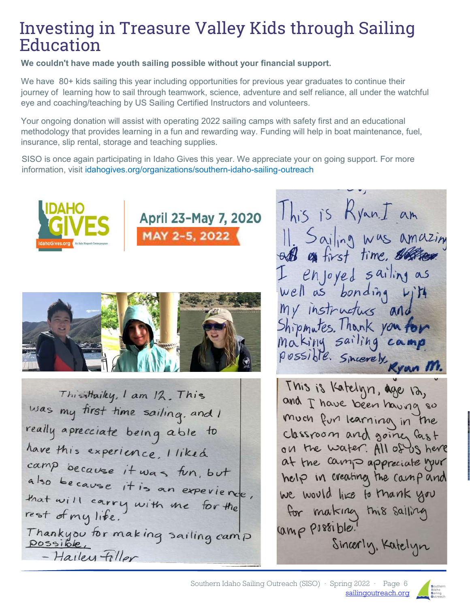## Investing in Treasure Valley Kids through Sailing Education

We couldn't have made youth sailing possible without your financial support.

We have 80+ kids sailing this year including opportunities for previous year graduates to continue their journey of learning how to sail through teamwork, science, adventure and self reliance, all under the watchful eye and coaching/teaching by US Sailing Certified Instructors and volunteers.

Your ongoing donation will assist with operating 2022 sailing camps with safety first and an educational methodology that provides learning in a fun and rewarding way. Funding will help in boat maintenance, fuel, insurance, slip rental, storage and teaching supplies.

SISO is once again participating in Idaho Gives this year. We appreciate your on going support. For more information, visit idahogives.org/organizations/southern-idaho-sailing-outreach





Thisistaiky, I am 12. This was my first time sailing, and I really aprecciate being able to have this experience. I liked camp because it was fun, but also because it is an experience, that will carry with me for the rest of my life. Thankyou for making sailing camp - Hailey Filler

This is Ryan.I am Il Sailing was amazing I enjoyed sailing as my instructus and Shipmutes. Thank you for making sailing can possible. Sincerely Ryan M.

This is Katelyn, age 12, and I have been having so much fur learning in the classroom and going fast on the water. All of US here at the camp appreciate your help in creating the camp and we would like to thank you for making this sailing camp possible. Sincerly, Katelyn

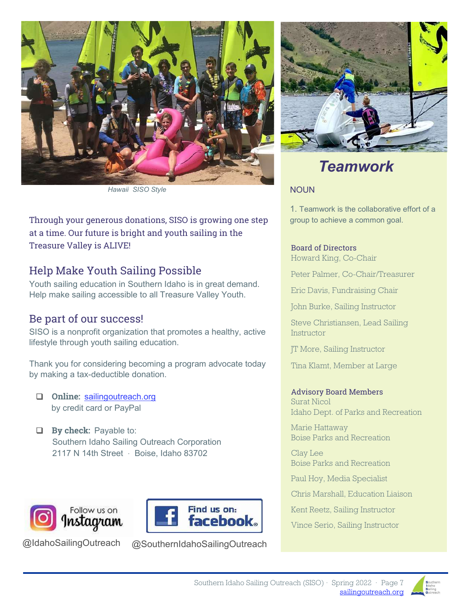

Hawaii SISO Style

Through your generous donations, SISO is growing one step at a time. Our future is bright and youth sailing in the Treasure Valley is ALIVE!

#### Help Make Youth Sailing Possible

Youth sailing education in Southern Idaho is in great demand. Help make sailing accessible to all Treasure Valley Youth.

#### Be part of our success!

SISO is a nonprofit organization that promotes a healthy, active lifestyle through youth sailing education.

Thank you for considering becoming a program advocate today by making a tax-deductible donation.

- Q Online: sailingoutreach.org by credit card or PayPal
- $\Box$  By check: Payable to: Southern Idaho Sailing Outreach Corporation 2117 N 14th Street · Boise, Idaho 83702



@IdahoSailingOutreach

@SouthernIdahoSailingOutreach

**Find us on:** 

**facebook** 



## Teamwork

#### **NOUN**

1. Teamwork is the collaborative effort of a group to achieve a common goal.

Board of Directors Howard King, Co-Chair

Peter Palmer, Co-Chair/Treasurer

Eric Davis, Fundraising Chair

John Burke, Sailing Instructor

Steve Christiansen, Lead Sailing **Instructor** 

JT More, Sailing Instructor

Tina Klamt, Member at Large

#### Advisory Board Members

Surat Nicol Idaho Dept. of Parks and Recreation

Marie Hattaway Boise Parks and Recreation

Clay Lee Boise Parks and Recreation

Paul Hoy, Media Specialist

Chris Marshall, Education Liaison

Kent Reetz, Sailing Instructor

Vince Serio, Sailing Instructor